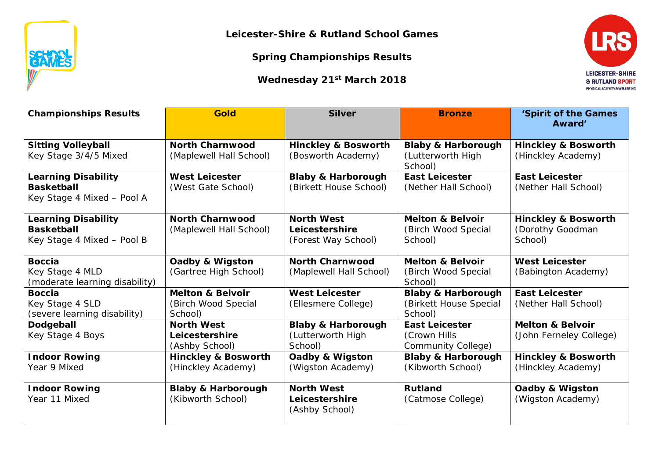

**Leicester-Shire & Rutland School Games**

**Spring Championships Results**

**Wednesday 21st March 2018**



| <b>Championships Results</b>                                                  | <b>Gold</b>                                                   | <b>Silver</b>                                                 | <b>Bronze</b>                                                      | 'Spirit of the Games<br>Award'                                |  |
|-------------------------------------------------------------------------------|---------------------------------------------------------------|---------------------------------------------------------------|--------------------------------------------------------------------|---------------------------------------------------------------|--|
| <b>Sitting Volleyball</b><br>Key Stage 3/4/5 Mixed                            | <b>North Charnwood</b><br>(Maplewell Hall School)             | <b>Hinckley &amp; Bosworth</b><br>(Bosworth Academy)          | <b>Blaby &amp; Harborough</b><br>(Lutterworth High<br>School)      | <b>Hinckley &amp; Bosworth</b><br>(Hinckley Academy)          |  |
| <b>Learning Disability</b><br><b>Basketball</b><br>Key Stage 4 Mixed - Pool A | <b>West Leicester</b><br>(West Gate School)                   | <b>Blaby &amp; Harborough</b><br>(Birkett House School)       | <b>East Leicester</b><br>(Nether Hall School)                      | <b>East Leicester</b><br>(Nether Hall School)                 |  |
| <b>Learning Disability</b><br><b>Basketball</b><br>Key Stage 4 Mixed - Pool B | <b>North Charnwood</b><br>(Maplewell Hall School)             | <b>North West</b><br>Leicestershire<br>(Forest Way School)    | <b>Melton &amp; Belvoir</b><br>(Birch Wood Special<br>School)      | <b>Hinckley &amp; Bosworth</b><br>(Dorothy Goodman<br>School) |  |
| <b>Boccia</b><br>Key Stage 4 MLD<br>(moderate learning disability)            | Oadby & Wigston<br>(Gartree High School)                      | <b>North Charnwood</b><br>(Maplewell Hall School)             | <b>Melton &amp; Belvoir</b><br>(Birch Wood Special<br>School)      | <b>West Leicester</b><br>(Babington Academy)                  |  |
| <b>Boccia</b><br>Key Stage 4 SLD<br>(severe learning disability)              | <b>Melton &amp; Belvoir</b><br>(Birch Wood Special<br>School) | <b>West Leicester</b><br>(Ellesmere College)                  | <b>Blaby &amp; Harborough</b><br>(Birkett House Special<br>School) | <b>East Leicester</b><br>(Nether Hall School)                 |  |
| Dodgeball<br>Key Stage 4 Boys                                                 | <b>North West</b><br>Leicestershire<br>(Ashby School)         | <b>Blaby &amp; Harborough</b><br>(Lutterworth High<br>School) | <b>East Leicester</b><br>(Crown Hills<br>Community College)        | <b>Melton &amp; Belvoir</b><br>(John Ferneley College)        |  |
| <b>Indoor Rowing</b><br>Year 9 Mixed                                          | <b>Hinckley &amp; Bosworth</b><br>(Hinckley Academy)          | Oadby & Wigston<br>(Wigston Academy)                          | <b>Blaby &amp; Harborough</b><br>(Kibworth School)                 | <b>Hinckley &amp; Bosworth</b><br>(Hinckley Academy)          |  |
| <b>Indoor Rowing</b><br>Year 11 Mixed                                         | <b>Blaby &amp; Harborough</b><br>(Kibworth School)            | <b>North West</b><br>Leicestershire<br>(Ashby School)         | <b>Rutland</b><br>(Catmose College)                                | Oadby & Wigston<br>(Wigston Academy)                          |  |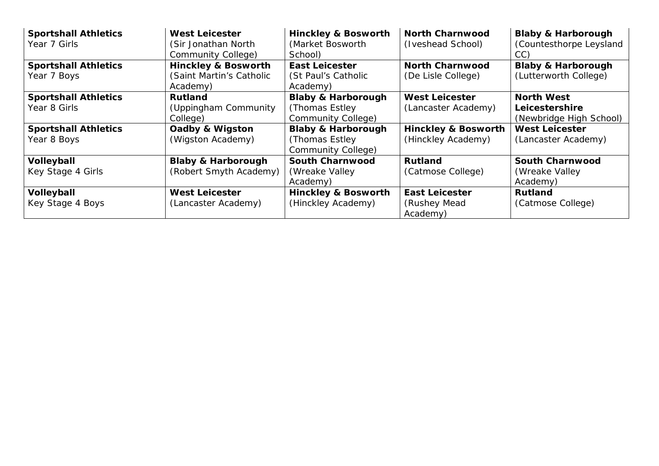| <b>Sportshall Athletics</b><br>Year 7 Girls | <b>West Leicester</b><br>(Sir Jonathan North<br>Community College)     | <b>Hinckley &amp; Bosworth</b><br>(Market Bosworth<br>School)          | <b>North Charnwood</b><br>(Iveshead School)          | <b>Blaby &amp; Harborough</b><br>(Countesthorpe Leysland<br>CC) |
|---------------------------------------------|------------------------------------------------------------------------|------------------------------------------------------------------------|------------------------------------------------------|-----------------------------------------------------------------|
| <b>Sportshall Athletics</b><br>Year 7 Boys  | <b>Hinckley &amp; Bosworth</b><br>(Saint Martin's Catholic<br>Academy) | <b>East Leicester</b><br>(St Paul's Catholic<br>Academy)               | <b>North Charnwood</b><br>(De Lisle College)         | <b>Blaby &amp; Harborough</b><br>(Lutterworth College)          |
| <b>Sportshall Athletics</b><br>Year 8 Girls | <b>Rutland</b><br>(Uppingham Community<br>College)                     | <b>Blaby &amp; Harborough</b><br>(Thomas Estley)<br>Community College) | <b>West Leicester</b><br>(Lancaster Academy)         | <b>North West</b><br>Leicestershire<br>(Newbridge High School)  |
| <b>Sportshall Athletics</b><br>Year 8 Boys  | Oadby & Wigston<br>(Wigston Academy)                                   | <b>Blaby &amp; Harborough</b><br>(Thomas Estley)<br>Community College) | <b>Hinckley &amp; Bosworth</b><br>(Hinckley Academy) | <b>West Leicester</b><br>(Lancaster Academy)                    |
| Volleyball<br>Key Stage 4 Girls             | <b>Blaby &amp; Harborough</b><br>(Robert Smyth Academy)                | <b>South Charnwood</b><br>(Wreake Valley)<br>Academy)                  | Rutland<br>(Catmose College)                         | <b>South Charnwood</b><br>(Wreake Valley)<br>Academy)           |
| Volleyball<br>Key Stage 4 Boys              | <b>West Leicester</b><br>(Lancaster Academy)                           | <b>Hinckley &amp; Bosworth</b><br>(Hinckley Academy)                   | <b>East Leicester</b><br>(Rushey Mead<br>Academy)    | <b>Rutland</b><br>(Catmose College)                             |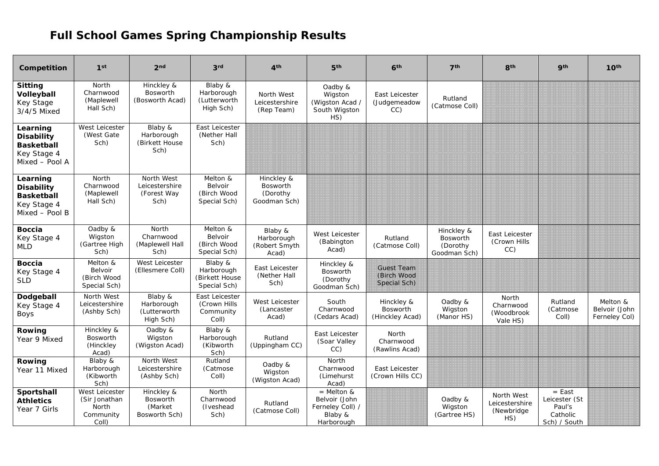## **Full School Games Spring Championship Results**

| Competition                                                                         | 1 <sup>st</sup>                                                | 2 <sub>nd</sub>                                           | 3 <sup>rd</sup>                                         | 4 <sup>th</sup>                                           | 5 <sup>th</sup>                                                            | 6 <sup>th</sup>                                  | 7 <sup>th</sup>                                    | 8 <sup>th</sup>                                   | <b>9th</b>                                                      | 10 <sup>th</sup>                           |
|-------------------------------------------------------------------------------------|----------------------------------------------------------------|-----------------------------------------------------------|---------------------------------------------------------|-----------------------------------------------------------|----------------------------------------------------------------------------|--------------------------------------------------|----------------------------------------------------|---------------------------------------------------|-----------------------------------------------------------------|--------------------------------------------|
| <b>Sitting</b><br>Volleyball<br>Key Stage<br>3/4/5 Mixed                            | North<br>Charnwood<br>(Maplewell<br>Hall Sch)                  | Hinckley &<br><b>Bosworth</b><br>(Bosworth Acad)          | Blaby &<br>Harborough<br>(Lutterworth<br>High Sch)      | North West<br>Leicestershire<br>(Rep Team)                | Oadby &<br>Wigston<br>(Wigston Acad /<br>South Wigston<br>HS)              | East Leicester<br>(Judgemeadow<br>CC             | Rutland<br>(Catmose Coll)                          |                                                   |                                                                 |                                            |
| Learning<br><b>Disability</b><br><b>Basketball</b><br>Key Stage 4<br>Mixed - Pool A | West Leicester<br>(West Gate<br>Sch)                           | Blaby &<br>Harborough<br>(Birkett House<br>Sch)           | East Leicester<br>(Nether Hall<br>Sch)                  |                                                           |                                                                            |                                                  |                                                    |                                                   |                                                                 |                                            |
| Learning<br><b>Disability</b><br><b>Basketball</b><br>Key Stage 4<br>Mixed - Pool B | North<br>Charnwood<br>(Maplewell<br>Hall Sch)                  | North West<br>Leicestershire<br>(Forest Way<br>Sch)       | Melton &<br>Belvoir<br>(Birch Wood<br>Special Sch)      | Hinckley &<br><b>Bosworth</b><br>(Dorothy<br>Goodman Sch) |                                                                            |                                                  |                                                    |                                                   |                                                                 |                                            |
| <b>Boccia</b><br>Key Stage 4<br><b>MLD</b>                                          | Oadby &<br>Wigston<br>(Gartree High<br>Sch)                    | North<br>Charnwood<br>(Maplewell Hall<br>Sch)             | Melton &<br>Belvoir<br>(Birch Wood<br>Special Sch)      | Blaby &<br>Harborough<br>(Robert Smyth<br>Acad)           | West Leicester<br>(Babington<br>Acad)                                      | Rutland<br>(Catmose Coll)                        | Hinckley &<br>Bosworth<br>(Dorothy<br>Goodman Sch) | East Leicester<br>(Crown Hills<br>CC)             |                                                                 |                                            |
| <b>Boccia</b><br>Key Stage 4<br><b>SLD</b>                                          | Melton &<br>Belvoir<br>(Birch Wood<br>Special Sch)             | West Leicester<br>(Ellesmere Coll)                        | Blaby &<br>Harborough<br>(Birkett House<br>Special Sch) | East Leicester<br>(Nether Hall<br>Sch)                    | Hinckley &<br>Bosworth<br>(Dorothy<br>Goodman Sch)                         | <b>Guest Team</b><br>(Birch Wood<br>Special Sch) |                                                    |                                                   |                                                                 |                                            |
| Dodgeball<br>Key Stage 4<br>Boys                                                    | North West<br>Leicestershire<br>(Ashby Sch)                    | Blaby &<br>Harborough<br>(Lutterworth<br>High Sch)        | East Leicester<br>(Crown Hills<br>Community<br>Coll)    | <b>West Leicester</b><br>(Lancaster<br>Acad)              | South<br>Charnwood<br>(Cedars Acad)                                        | Hinckley &<br><b>Bosworth</b><br>(Hinckley Acad) | Oadby &<br>Wigston<br>(Manor HS)                   | North<br>Charnwood<br>(Woodbrook<br>Vale HS)      | Rutland<br>(Catmose<br>Coll)                                    | Melton &<br>Belvoir (John<br>Ferneley Col) |
| Rowing<br>Year 9 Mixed                                                              | Hinckley &<br>Bosworth<br>(Hinckley<br>Acad)                   | Oadby &<br>Wigston<br>(Wigston Acad)                      | Blaby &<br>Harborough<br>(Kibworth<br>Sch)              | Rutland<br>(Uppingham CC)                                 | East Leicester<br>(Soar Valley<br>CC)                                      | North<br>Charnwood<br>(Rawlins Acad)             |                                                    |                                                   |                                                                 |                                            |
| Rowing<br>Year 11 Mixed                                                             | Blaby &<br>Harborough<br>(Kibworth<br>Sch)                     | North West<br>Leicestershire<br>(Ashby Sch)               | Rutland<br>(Catmose<br>Coll)                            | Oadby &<br>Wigston<br>(Wigston Acad)                      | North<br>Charnwood<br>(Limehurst<br>Acad)                                  | East Leicester<br>(Crown Hills CC)               |                                                    |                                                   |                                                                 |                                            |
| Sportshall<br><b>Athletics</b><br>Year 7 Girls                                      | West Leicester<br>(Sir Jonathan<br>North<br>Community<br>Coll) | Hinckley &<br><b>Bosworth</b><br>(Market<br>Bosworth Sch) | North<br>Charnwood<br>(Iveshead<br>Sch)                 | Rutland<br>(Catmose Coll)                                 | $=$ Melton &<br>Belvoir (John<br>Ferneley Coll) /<br>Blaby &<br>Harborough |                                                  | Oadby &<br>Wigston<br>(Gartree HS)                 | North West<br>Leicestershire<br>(Newbridge<br>HS) | $=$ East<br>Leicester (St<br>Paul's<br>Catholic<br>Sch) / South |                                            |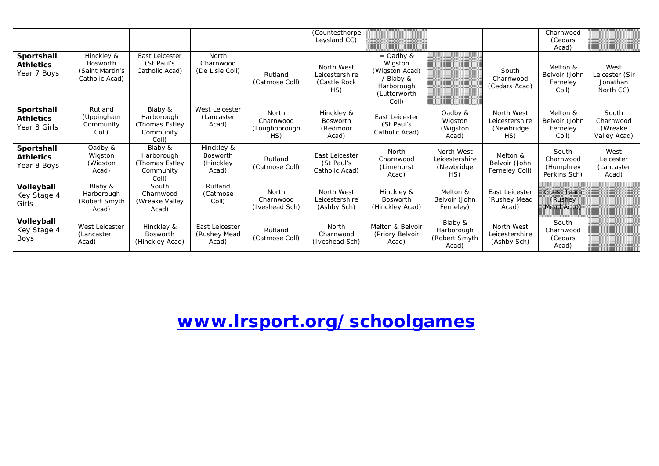|                                                |                                                                    |                                                                |                                                     |                                            | (Countesthorpe<br>Leysland CC)                       |                                                                                               |                                                    |                                                    | Charnwood<br>(Cedars<br>Acad)                   |                                                 |
|------------------------------------------------|--------------------------------------------------------------------|----------------------------------------------------------------|-----------------------------------------------------|--------------------------------------------|------------------------------------------------------|-----------------------------------------------------------------------------------------------|----------------------------------------------------|----------------------------------------------------|-------------------------------------------------|-------------------------------------------------|
| Sportshall<br><b>Athletics</b><br>Year 7 Boys  | Hinckley &<br><b>Bosworth</b><br>(Saint Martin's<br>Catholic Acad) | East Leicester<br>(St Paul's<br>Catholic Acad)                 | North<br>Charnwood<br>(De Lisle Coll)               | Rutland<br>(Catmose Coll)                  | North West<br>Leicestershire<br>(Castle Rock)<br>HS) | $=$ Oadby &<br>Wigston<br>(Wigston Acad)<br>/ Blaby &<br>Harborough<br>(Lutterworth)<br>Coll) |                                                    | South<br>Charnwood<br>(Cedars Acad)                | Melton &<br>Belvoir (John<br>Ferneley<br>Coll)  | West<br>Leicester (Sir<br>Jonathan<br>North CC) |
| Sportshall<br><b>Athletics</b><br>Year 8 Girls | Rutland<br>(Uppingham<br>Community<br>Coll)                        | Blaby &<br>Harborough<br>(Thomas Estley)<br>Community<br>Coll) | West Leicester<br>(Lancaster<br>Acad)               | North<br>Charnwood<br>(Loughborough<br>HS) | Hinckley &<br><b>Bosworth</b><br>(Redmoor<br>Acad)   | East Leicester<br>(St Paul's<br>Catholic Acad)                                                | Oadby &<br>Wigston<br>(Wigston)<br>Acad)           | North West<br>Leicestershire<br>(Newbridge)<br>HS) | Melton &<br>Belvoir (John<br>Ferneley<br>Coll)  | South<br>Charnwood<br>(Wreake<br>Valley Acad)   |
| Sportshall<br><b>Athletics</b><br>Year 8 Boys  | Oadby &<br>Wigston<br>(Wigston<br>Acad)                            | Blaby &<br>Harborough<br>(Thomas Estley)<br>Community<br>Coll) | Hinckley &<br><b>Bosworth</b><br>(Hinckley<br>Acad) | Rutland<br>(Catmose Coll)                  | East Leicester<br>(St Paul's<br>Catholic Acad)       | North<br>Charnwood<br>(Limehurst<br>Acad)                                                     | North West<br>Leicestershire<br>(Newbridge)<br>HS) | Melton &<br>Belvoir (John<br>Ferneley Coll)        | South<br>Charnwood<br>(Humphrey<br>Perkins Sch) | West<br>Leicester<br>(Lancaster<br>Acad)        |
| Volleyball<br>Key Stage 4<br>Girls             | Blaby &<br>Harborough<br>(Robert Smyth<br>Acad)                    | South<br>Charnwood<br>(Wreake Valley<br>Acad)                  | Rutland<br>(Catmose)<br>Coll)                       | North<br>Charnwood<br>(Iveshead Sch)       | North West<br>Leicestershire<br>(Ashby Sch)          | Hinckley &<br><b>Bosworth</b><br>(Hinckley Acad)                                              | Melton &<br>Belvoir (John<br>Ferneley)             | East Leicester<br>(Rushey Mead<br>Acad)            | <b>Guest Team</b><br>(Rushey)<br>Mead Acad)     |                                                 |
| Volleyball<br>Key Stage 4<br>Boys              | West Leicester<br>(Lancaster<br>Acad)                              | Hinckley &<br><b>Bosworth</b><br>(Hinckley Acad)               | East Leicester<br>(Rushey Mead<br>Acad)             | Rutland<br>(Catmose Coll)                  | North<br>Charnwood<br>(Iveshead Sch)                 | Melton & Belvoir<br>(Priory Belvoir<br>Acad)                                                  | Blaby &<br>Harborough<br>(Robert Smyth<br>Acad)    | North West<br>Leicestershire<br>(Ashby Sch)        | South<br>Charnwood<br>(Cedars<br>Acad)          |                                                 |

**[www.lrsport.org/schoolgames](http://www.lrsport.org/schoolgames)**